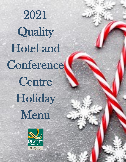2021 **Quality** Hotel and Conference Centre **Holiday** Menu

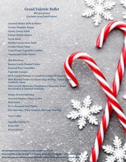### **Grand Yuletide Buffet**

**\$85 per person (Includes items listed below)** 

**Assorted Dinner Rolls & Butter Creamy Pumpkin Bisque Classic Caesar Salad Tuscan Winter Greens Greek Salad Mediterranean Pasta Salad Creamy Potato Salad Crisp Winter Vegetable Crudités Ornamental Pickle Platter** 

**Hot Selections Roasted Garlic Mashed Potato Seasonal Root Vegetables Vegetable Lasagna Herb Crusted Salmon w/ Cranberry Ginger Reduction Slow Roasted Turkey w/ Savory Sage Stuffing, Turkey Gravy & Cranberry Sauce Chef Carved Alberta Beef Striploin w/ Rosemary Demi, Horseradish & Assorted Mustards** 

**Deluxe Dessert Selection Assorted Squares, Cakes, & Pies Petit Fours Fresh Seasonal Fruit Platter Hot Chocolate, Whip Cream & Chocolate Shavings** 

**Tea & Coffee** 

**Upgrade Carving To: Prime Rib \$9 per person**

All Catering Services are subject to a 18% gratuity and 5% GST If you would like to add any items to your menu, please ask your Catering Consultant for Prices and menu are subject to change. Minimum number of people for menus may be in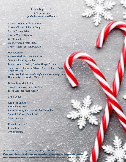# **Holiday Buffet**

**\$74 per person (Includes items listed below)** 

**Assorted Dinner Rolls & Butter Cream of Potato & Bacon Soup Classic Caesar Salad Tuscan Winter Greens Greek Salad Mediterranean Pasta Salad Crisp Winter Vegetable Crudité** 

**Hot Selections Roasted Garlic Mashed Potatoes Seasonal Root Vegetables Lemon Scented Cod w/ Shallot Ginger Cream**  Slow Roasted Turkey w/ Savory Sage Stuffing, Turkey Gravy **Cranberry Sauce Chef Carved Alberta Beef Striploin w/ Rosemary Demi, Horseradish & Assorted Mustard** 

**Deluxe Dessert Selection Assorted Squares, Cakes, & Pies Fresh Seasonal Fruit Platter** 

#### **Tea & Coffee**

**Add Your Choice of: Vegetable Lasagna Pesto Penne w/ Balsamic Grilled Vegetables Spinach & Cheese Manicotti \$4 per person** 

**Upgrade Carving To: Prime Rib \$9 per person** 

All Catering Services are subject to a 18% gratuity and 5% GST

If you would like to add any items to your menu, please ask your Catering Consultant fo Prices and menu are subject to change. Minimum number of people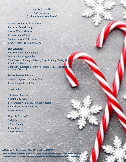### **Festive Buffet**

**\$55 per person (Includes items listed below)** 

- **Assorted Dinner Rolls & Butter Butternut Squash Soup Tuscan Winter Greens Creamy Potato Salad Mediterranean Pasta Salad Crisp Winter Vegetable Crudité**
- **Hot Selections Buttermilk Mashed Potatoes Seasonal Root Vegetables Slow Roasted Turkey w/ Savory Sage Stuffing, Turkey Gravy & Cranberry Sauce Chef Carved Alberta Beef w/ Rosemary Demi, Horseradish & Assorted Mustard**
- **Deluxe Dessert Selection Assorted Squares, Cakes, & Pies Fresh Seasonal Fruit Platter**

**Tea & Coffee** 

**Add Your Choice of: Vegetable Lasagna Pesto Penne w/ Balsamic Grilled Vegetables Spinach & Cheese Manicotti \$4 per person** 

**Upgrade Carving To: Striploin \$7 per Person Prime Rib \$9 per person** 

All Catering Services are subject to a 18% gratuity and 5% GST If you would like to add any items to your menu, please ask your Catering Co Prices and menu are subject to change. Minimum number of people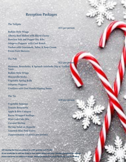# **Reception Packages**

#### **The Tailgate**

#### **\$25 per person**

**\$30 per person** 

**Buffalo Style Wings Alberta Beef Sliders with Sliced Cheese Boneless Salt and Pepper Dry Ribs Jalapeno Poppers with Cool Ranch Nachos with Guacamole, Salsa, & Sour Cream Fresh Fruit Skewers** 

#### **The Pub**

**\$25 per person Hummus, Bruschetta, & Spinach Artichoke Dip w/ Grilled Naan Buffalo Style Wings Mozzarella Sticks Vegetable Spring Rolls Jalapeno Poppers Crudities with Cool Ranch Dipping Sauce**

### **The Tie**

**Vegetable Samosas Tomato Bruschetta Apple & Brie Canapes Bacon Wrapped Scallops Mini Crab Cake Bite Coconut Shrimp Shrimp Salad on Baguette Assorted Mini Petit Fours (Approximately 12 pieces per person)**

All Catering Services are subject to a 18% gratuity and 5% GST If you would like to add any items to your menu, please ask your Catering Co Prices and menu are subject to change. Minimum number of people for me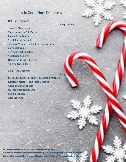# **A la Carte Hors D'oeuvres**

#### **Hot Hors D'oeuvres**

**\$34 per dozen** 

**Assorted Mini Quiche Mini Sausage in Puff Pastry Buffalo Style Wings Vegetable Spring Rolls Scallops Wrapped in Smoked Hickory Bacon Coconut Shrimp Teriyaki Chicken Satays Vegetarian Samosas Honey Garlic Beef Skewers Alberta Beef Slider**

**Cold Hors D'oeuvres** 

**\$34 per dozen** 

**Fresh Vine Ripened Tomato and Basil Bruschetta Roasted Vegetables and Pesto Canapes Apple and Brie Canapes Smoked Chicken and Brie Shrimp Canapes Mini Crab Cake**

All Catering Services are subject to a 18% gratuity and 5% GST If you would like to add any items to your menu, please ask your Catering Consultant for Prices and menu are subject to change. Minim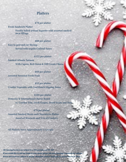# **Platters**

### **\$78 per platter**

**Fresh Sandwich Platter**

**Freshly baked artisan baguette with assorted smoked meat fillings**

**\$88 per platter Easy to peel and eat Shrimp Served with tequila Cocktail Sauce** 

**\$125 per platter Smoked Atlantic Salmon** 

**With Capers, Red Onion & Dill Cream Cheese** 

**\$60 per platter Assorted Seasonal Fresh Fruit** 

**\$53 per platter Crudité Vegetable with Cool Ranch Dipping Sauce** 

**\$105 per platter Domestic & International Cheese Board w/ Cracker Trio, Fresh Grapes, Dried Fruits and Nuts**

 **\$79 per platter Assorted Smoked Meats and Charcuterie Platter Assorted Mustards and Trio of Crackers**

**All Platters Serve Approximately 15 people**

All Catering Services are subject to a 18% gratuity and 5% GST If you would like to add any items to your menu, please ask your Catering Consultant for Prices and menu are subject to change. Minimum number of people for menus may be in the substitution.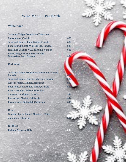# **Wine Menu – Per Bottle**

### **White Wine**

| <b>Jacksons-Triggs Proprietors' Selection,</b>                    |      |
|-------------------------------------------------------------------|------|
| <b>Chardonnay</b> , Canada                                        | \$37 |
| <b>Saint and Sinner, Pinot Grigio, Canada</b>                     | \$37 |
| <b>Bodacious, Smooth White Blend, Canada</b>                      | \$35 |
| Inniskilin Niagara VQA, Riesling, Canada                          | \$51 |
| <b>Sumac Ridge Private Reserve VOA,</b><br>Gewurztraminer, Canada | \$54 |

### **Red Wine**

**Jacksons-Triggs Proprietors' Selection, Merlot, Canada \$37 Saint and Sinner, Shiraz-Cabernet, Canada \$37 Marcus James, Malbec, Argentina \$37 Bodacious, Smooth Red Blend, Canada \$35 Robert Mondavi Private Selection, Cabernet Sauvignon, Canada \$41 Blackstone, Merlot, California \$44 Ravenswood, Zinfandel, California \$49**

### **Rose**

**Woodbridge by Robert Mondavi, White**   $Zinfandel, California$ 

**Bubbles Ruffino Prosecco, Italy \$42**